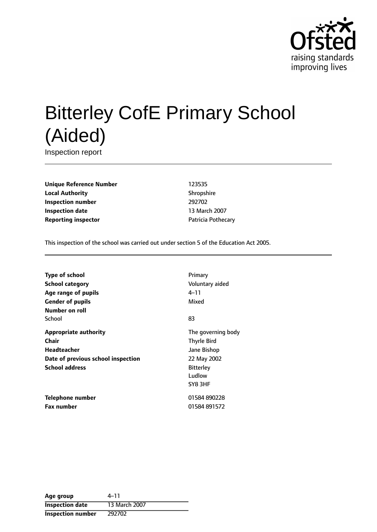

# Bitterley CofE Primary School (Aided)

Inspection report

**Unique Reference Number** 123535 **Local Authority** Shropshire **Inspection number** 292702 **Inspection date** 13 March 2007 **Reporting inspector CONFIDENTIAL PROPERTY** Patricia Pothecary

This inspection of the school was carried out under section 5 of the Education Act 2005.

| <b>Type of school</b>              | Primary            |
|------------------------------------|--------------------|
| School category                    | Voluntary aided    |
| Age range of pupils                | 4–11               |
| <b>Gender of pupils</b>            | Mixed              |
| Number on roll                     |                    |
| School                             | 83                 |
| Appropriate authority              | The governing body |
| Chair                              | <b>Thyrle Bird</b> |
| Headteacher                        | Jane Bishop        |
| Date of previous school inspection | 22 May 2002        |
| <b>School address</b>              | <b>Bitterley</b>   |
|                                    | Ludlow             |
|                                    | SY8 3HF            |
| Telephone number                   | 01584890228        |
| <b>Fax number</b>                  | 01584 891572       |

| Age group                | 4–11          |
|--------------------------|---------------|
| <b>Inspection date</b>   | 13 March 2007 |
| <b>Inspection number</b> | 292702        |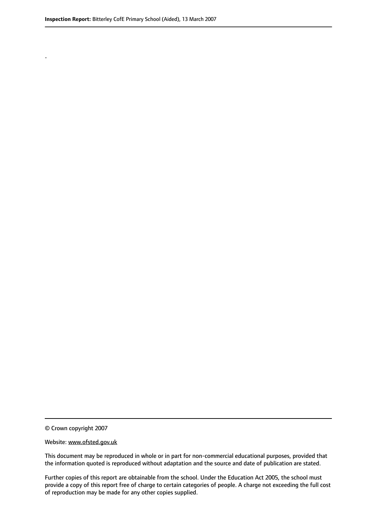.

© Crown copyright 2007

#### Website: www.ofsted.gov.uk

This document may be reproduced in whole or in part for non-commercial educational purposes, provided that the information quoted is reproduced without adaptation and the source and date of publication are stated.

Further copies of this report are obtainable from the school. Under the Education Act 2005, the school must provide a copy of this report free of charge to certain categories of people. A charge not exceeding the full cost of reproduction may be made for any other copies supplied.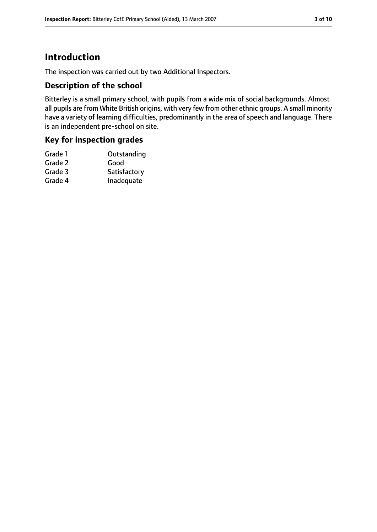# **Introduction**

The inspection was carried out by two Additional Inspectors.

#### **Description of the school**

Bitterley is a small primary school, with pupils from a wide mix of social backgrounds. Almost all pupils are from White British origins, with very few from other ethnic groups. A small minority have a variety of learning difficulties, predominantly in the area of speech and language. There is an independent pre-school on site.

#### **Key for inspection grades**

| Grade 1 | Outstanding  |
|---------|--------------|
| Grade 2 | Good         |
| Grade 3 | Satisfactory |
| Grade 4 | Inadequate   |
|         |              |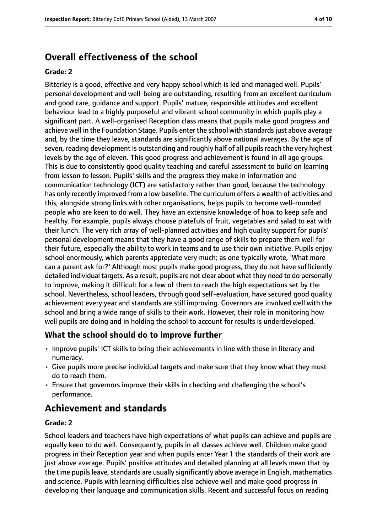## **Overall effectiveness of the school**

#### **Grade: 2**

Bitterley is a good, effective and very happy school which is led and managed well. Pupils' personal development and well-being are outstanding, resulting from an excellent curriculum and good care, guidance and support. Pupils' mature, responsible attitudes and excellent behaviour lead to a highly purposeful and vibrant school community in which pupils play a significant part. A well-organised Reception class means that pupils make good progress and achieve well in the Foundation Stage. Pupils enter the school with standards just above average and, by the time they leave, standards are significantly above national averages. By the age of seven, reading development is outstanding and roughly half of all pupils reach the very highest levels by the age of eleven. This good progress and achievement is found in all age groups. This is due to consistently good quality teaching and careful assessment to build on learning from lesson to lesson. Pupils' skills and the progress they make in information and communication technology (ICT) are satisfactory rather than good, because the technology has only recently improved from a low baseline. The curriculum offers a wealth of activities and this, alongside strong links with other organisations, helps pupils to become well-rounded people who are keen to do well. They have an extensive knowledge of how to keep safe and healthy. For example, pupils always choose platefuls of fruit, vegetables and salad to eat with their lunch. The very rich array of well-planned activities and high quality support for pupils' personal development means that they have a good range of skills to prepare them well for their future, especially the ability to work in teams and to use their own initiative. Pupils enjoy school enormously, which parents appreciate very much; as one typically wrote, 'What more can a parent ask for?' Although most pupils make good progress, they do not have sufficiently detailed individual targets. As a result, pupils are not clear about what they need to do personally to improve, making it difficult for a few of them to reach the high expectations set by the school. Nevertheless, school leaders, through good self-evaluation, have secured good quality achievement every year and standards are still improving. Governors are involved well with the school and bring a wide range of skills to their work. However, their role in monitoring how well pupils are doing and in holding the school to account for results is underdeveloped.

#### **What the school should do to improve further**

- Improve pupils' ICT skills to bring their achievements in line with those in literacy and numeracy.
- Give pupils more precise individual targets and make sure that they know what they must do to reach them.
- Ensure that governors improve their skills in checking and challenging the school's performance.

## **Achievement and standards**

#### **Grade: 2**

School leaders and teachers have high expectations of what pupils can achieve and pupils are equally keen to do well. Consequently, pupils in all classes achieve well. Children make good progress in their Reception year and when pupils enter Year 1 the standards of their work are just above average. Pupils' positive attitudes and detailed planning at all levels mean that by the time pupils leave, standards are usually significantly above average in English, mathematics and science. Pupils with learning difficulties also achieve well and make good progress in developing their language and communication skills. Recent and successful focus on reading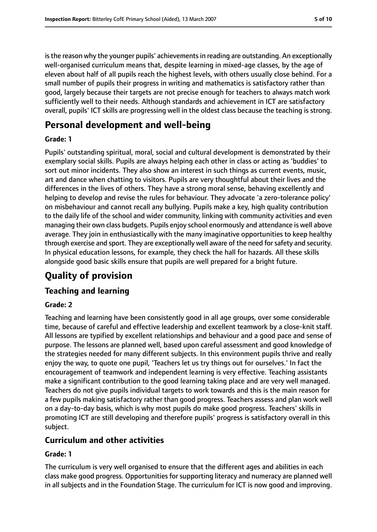is the reason why the younger pupils' achievements in reading are outstanding. An exceptionally well-organised curriculum means that, despite learning in mixed-age classes, by the age of eleven about half of all pupils reach the highest levels, with others usually close behind. For a small number of pupils their progress in writing and mathematics is satisfactory rather than good, largely because their targets are not precise enough for teachers to always match work sufficiently well to their needs. Although standards and achievement in ICT are satisfactory overall, pupils' ICT skills are progressing well in the oldest class because the teaching is strong.

# **Personal development and well-being**

#### **Grade: 1**

Pupils' outstanding spiritual, moral, social and cultural development is demonstrated by their exemplary social skills. Pupils are always helping each other in class or acting as 'buddies' to sort out minor incidents. They also show an interest in such things as current events, music, art and dance when chatting to visitors. Pupils are very thoughtful about their lives and the differences in the lives of others. They have a strong moral sense, behaving excellently and helping to develop and revise the rules for behaviour. They advocate 'a zero-tolerance policy' on misbehaviour and cannot recall any bullying. Pupils make a key, high quality contribution to the daily life of the school and wider community, linking with community activities and even managing their own class budgets. Pupils enjoy school enormously and attendance is well above average. They join in enthusiastically with the many imaginative opportunities to keep healthy through exercise and sport. They are exceptionally well aware of the need forsafety and security. In physical education lessons, for example, they check the hall for hazards. All these skills alongside good basic skills ensure that pupils are well prepared for a bright future.

# **Quality of provision**

## **Teaching and learning**

#### **Grade: 2**

Teaching and learning have been consistently good in all age groups, over some considerable time, because of careful and effective leadership and excellent teamwork by a close-knit staff. All lessons are typified by excellent relationships and behaviour and a good pace and sense of purpose. The lessons are planned well, based upon careful assessment and good knowledge of the strategies needed for many different subjects. In this environment pupils thrive and really enjoy the way, to quote one pupil, 'Teachers let us try things out for ourselves.' In fact the encouragement of teamwork and independent learning is very effective. Teaching assistants make a significant contribution to the good learning taking place and are very well managed. Teachers do not give pupils individual targets to work towards and this is the main reason for a few pupils making satisfactory rather than good progress. Teachers assess and plan work well on a day-to-day basis, which is why most pupils do make good progress. Teachers' skills in promoting ICT are still developing and therefore pupils' progress is satisfactory overall in this subject.

### **Curriculum and other activities**

#### **Grade: 1**

The curriculum is very well organised to ensure that the different ages and abilities in each class make good progress. Opportunities for supporting literacy and numeracy are planned well in all subjects and in the Foundation Stage. The curriculum for ICT is now good and improving.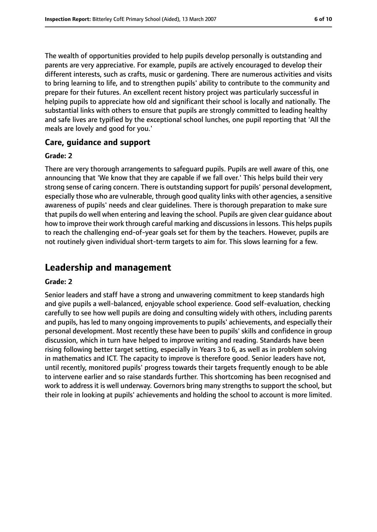The wealth of opportunities provided to help pupils develop personally is outstanding and parents are very appreciative. For example, pupils are actively encouraged to develop their different interests, such as crafts, music or gardening. There are numerous activities and visits to bring learning to life, and to strengthen pupils' ability to contribute to the community and prepare for their futures. An excellent recent history project was particularly successful in helping pupils to appreciate how old and significant their school is locally and nationally. The substantial links with others to ensure that pupils are strongly committed to leading healthy and safe lives are typified by the exceptional school lunches, one pupil reporting that 'All the meals are lovely and good for you.'

#### **Care, guidance and support**

#### **Grade: 2**

There are very thorough arrangements to safeguard pupils. Pupils are well aware of this, one announcing that 'We know that they are capable if we fall over.' This helps build their very strong sense of caring concern. There is outstanding support for pupils' personal development, especially those who are vulnerable, through good quality links with other agencies, a sensitive awareness of pupils' needs and clear guidelines. There is thorough preparation to make sure that pupils do well when entering and leaving the school. Pupils are given clear guidance about how to improve their work through careful marking and discussionsin lessons. This helps pupils to reach the challenging end-of-year goals set for them by the teachers. However, pupils are not routinely given individual short-term targets to aim for. This slows learning for a few.

## **Leadership and management**

#### **Grade: 2**

Senior leaders and staff have a strong and unwavering commitment to keep standards high and give pupils a well-balanced, enjoyable school experience. Good self-evaluation, checking carefully to see how well pupils are doing and consulting widely with others, including parents and pupils, has led to many ongoing improvements to pupils' achievements, and especially their personal development. Most recently these have been to pupils' skills and confidence in group discussion, which in turn have helped to improve writing and reading. Standards have been rising following better target setting, especially in Years 3 to 6, as well as in problem solving in mathematics and ICT. The capacity to improve is therefore good. Senior leaders have not, until recently, monitored pupils' progress towards their targets frequently enough to be able to intervene earlier and so raise standards further. This shortcoming has been recognised and work to address it is well underway. Governors bring many strengths to support the school, but their role in looking at pupils' achievements and holding the school to account is more limited.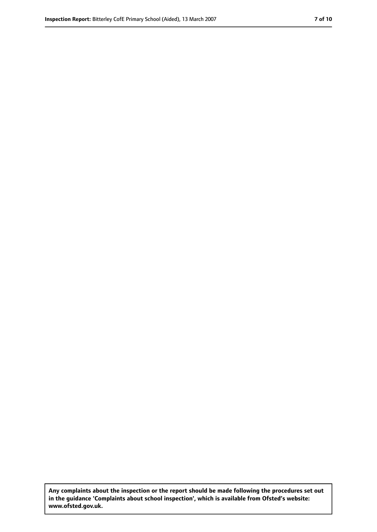**Any complaints about the inspection or the report should be made following the procedures set out in the guidance 'Complaints about school inspection', which is available from Ofsted's website: www.ofsted.gov.uk.**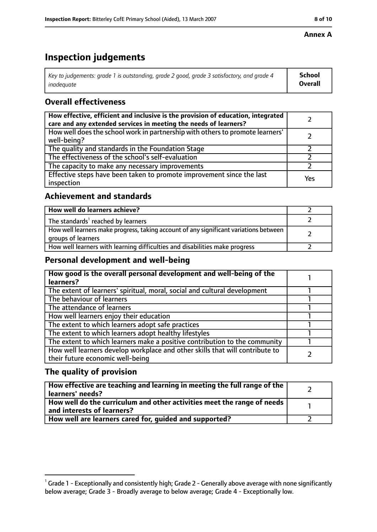#### **Annex A**

# **Inspection judgements**

| Key to judgements: grade 1 is outstanding, grade 2 good, grade 3 satisfactory, and grade 4 $\,$ | <b>School</b>  |
|-------------------------------------------------------------------------------------------------|----------------|
| inadequate                                                                                      | <b>Overall</b> |

## **Overall effectiveness**

| How effective, efficient and inclusive is the provision of education, integrated<br>care and any extended services in meeting the needs of learners? |     |
|------------------------------------------------------------------------------------------------------------------------------------------------------|-----|
| How well does the school work in partnership with others to promote learners'<br>well-being?                                                         |     |
| The quality and standards in the Foundation Stage                                                                                                    |     |
| The effectiveness of the school's self-evaluation                                                                                                    |     |
| The capacity to make any necessary improvements                                                                                                      |     |
| Effective steps have been taken to promote improvement since the last<br>inspection                                                                  | Yes |

#### **Achievement and standards**

| How well do learners achieve?                                                                               |  |
|-------------------------------------------------------------------------------------------------------------|--|
| The standards <sup>1</sup> reached by learners                                                              |  |
| How well learners make progress, taking account of any significant variations between<br>groups of learners |  |
| How well learners with learning difficulties and disabilities make progress                                 |  |

#### **Personal development and well-being**

| How good is the overall personal development and well-being of the<br>learners?                                  |  |
|------------------------------------------------------------------------------------------------------------------|--|
| The extent of learners' spiritual, moral, social and cultural development                                        |  |
| The behaviour of learners                                                                                        |  |
| The attendance of learners                                                                                       |  |
| How well learners enjoy their education                                                                          |  |
| The extent to which learners adopt safe practices                                                                |  |
| The extent to which learners adopt healthy lifestyles                                                            |  |
| The extent to which learners make a positive contribution to the community                                       |  |
| How well learners develop workplace and other skills that will contribute to<br>their future economic well-being |  |

## **The quality of provision**

| How effective are teaching and learning in meeting the full range of the<br>learners' needs?          |  |
|-------------------------------------------------------------------------------------------------------|--|
| How well do the curriculum and other activities meet the range of needs<br>and interests of learners? |  |
| How well are learners cared for, quided and supported?                                                |  |

 $^1$  Grade 1 - Exceptionally and consistently high; Grade 2 - Generally above average with none significantly below average; Grade 3 - Broadly average to below average; Grade 4 - Exceptionally low.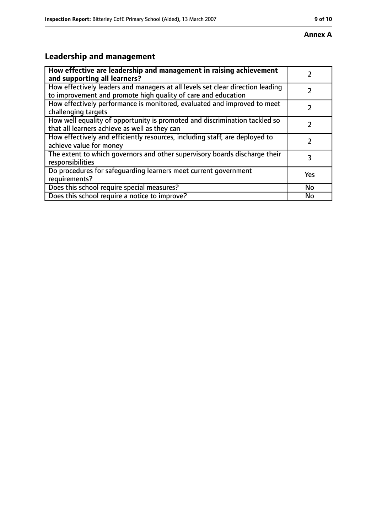# **Leadership and management**

| How effective are leadership and management in raising achievement                                                                              |     |
|-------------------------------------------------------------------------------------------------------------------------------------------------|-----|
| and supporting all learners?                                                                                                                    |     |
| How effectively leaders and managers at all levels set clear direction leading<br>to improvement and promote high quality of care and education |     |
| How effectively performance is monitored, evaluated and improved to meet<br>challenging targets                                                 |     |
| How well equality of opportunity is promoted and discrimination tackled so<br>that all learners achieve as well as they can                     |     |
| How effectively and efficiently resources, including staff, are deployed to<br>achieve value for money                                          | 7   |
| The extent to which governors and other supervisory boards discharge their<br>responsibilities                                                  | 3   |
| Do procedures for safequarding learners meet current government<br>requirements?                                                                | Yes |
| Does this school require special measures?                                                                                                      | No  |
| Does this school require a notice to improve?                                                                                                   | No  |